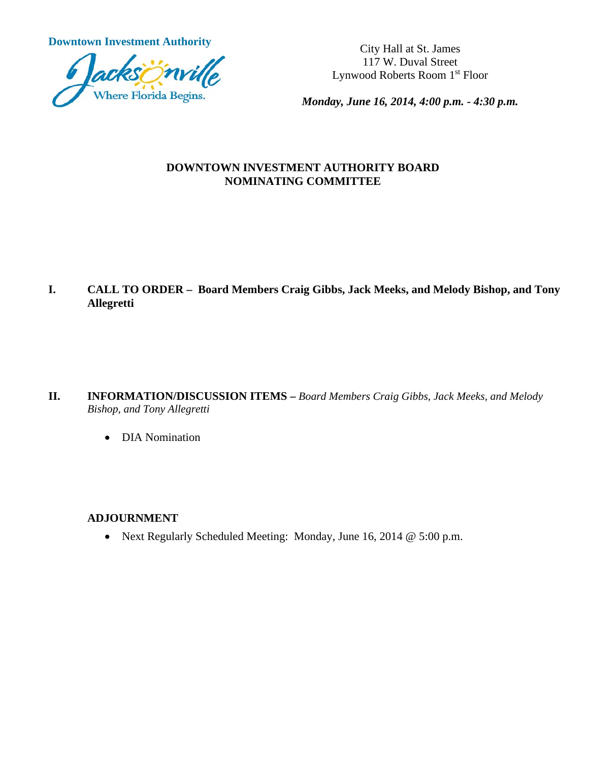**Downtown Investment Authority** City Hall at St. James



117 W. Duval Street Lynwood Roberts Room 1st Floor

*Monday, June 16, 2014, 4:00 p.m. - 4:30 p.m.*

#### **DOWNTOWN INVESTMENT AUTHORITY BOARD NOMINATING COMMITTEE**

**I. CALL TO ORDER – Board Members Craig Gibbs, Jack Meeks, and Melody Bishop, and Tony Allegretti**

- **II. INFORMATION/DISCUSSION ITEMS –** *Board Members Craig Gibbs, Jack Meeks, and Melody Bishop, and Tony Allegretti*
	- DIA Nomination

#### **ADJOURNMENT**

• Next Regularly Scheduled Meeting: Monday, June 16, 2014 @ 5:00 p.m.